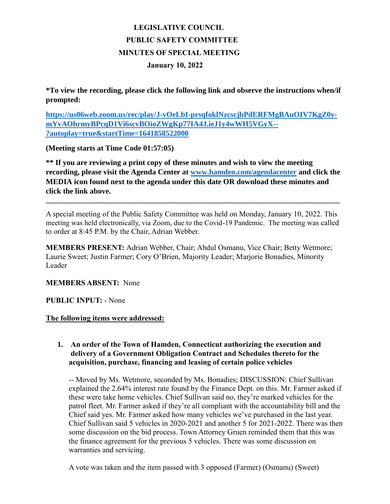# **LEGISLATIVE COUNCIL PUBLIC SAFETY COMMITTEE MINUTES OF SPECIAL MEETING January 10, 2022**

**\*To view the recording, please click the following link and observe the instructions when/if prompted:**

**[https://us06web.zoom.us/rec/play/J-vOeLbI-prsqfoklNzcscjbPdERFMgBAuOIV7KgZ0y](https://us06web.zoom.us/rec/play/J-vOeLbI-prsqfoklNzcscjbPdERFMgBAuOIV7KgZ0y-mYvAOhrmyBPcqD1Vi6scvBOioZWgKp77IA4J.ieJ1y4wWH5VGyX--?autoplay=true&startTime=1641858522000)[mYvAOhrmyBPcqD1Vi6scvBOioZWgKp77IA4J.ieJ1y4wWH5VGyX--](https://us06web.zoom.us/rec/play/J-vOeLbI-prsqfoklNzcscjbPdERFMgBAuOIV7KgZ0y-mYvAOhrmyBPcqD1Vi6scvBOioZWgKp77IA4J.ieJ1y4wWH5VGyX--?autoplay=true&startTime=1641858522000) [?autoplay=true&startTime=1641858522000](https://us06web.zoom.us/rec/play/J-vOeLbI-prsqfoklNzcscjbPdERFMgBAuOIV7KgZ0y-mYvAOhrmyBPcqD1Vi6scvBOioZWgKp77IA4J.ieJ1y4wWH5VGyX--?autoplay=true&startTime=1641858522000)**

**(Meeting starts at Time Code 01:57:05)**

**\*\* If you are reviewing a print copy of these minutes and wish to view the meeting recording, please visit the Agenda Center at [www.hamden.com/agendacenter](http://www.hamden.com/agendacenter) and click the MEDIA icon found next to the agenda under this date OR download these minutes and click the link above.**

A special meeting of the Public Safety Committee was held on Monday, January 10, 2022. This meeting was held electronically, via Zoom, due to the Covid-19 Pandemic. The meeting was called to order at 8:45 P.M. by the Chair, Adrian Webber.

**\_\_\_\_\_\_\_\_\_\_\_\_\_\_\_\_\_\_\_\_\_\_\_\_\_\_\_\_\_\_\_\_\_\_\_\_\_\_\_\_\_\_\_\_\_\_\_\_\_\_\_\_\_\_\_\_\_\_\_\_\_\_\_\_\_\_\_\_\_\_\_\_\_\_\_\_\_\_\_\_\_\_\_\_**

**MEMBERS PRESENT:** Adrian Webber, Chair; Abdul Osmanu, Vice Chair; Betty Wetmore; Laurie Sweet; Justin Farmer; Cory O'Brien, Majority Leader; Marjorie Bonadies, Minority Leader

**MEMBERS ABSENT:** None

### **PUBLIC INPUT:** - None

### **The following items were addressed:**

# **1. An order of the Town of Hamden, Connecticut authorizing the execution and delivery of a Government Obligation Contract and Schedules thereto for the acquisition, purchase, financing and leasing of certain police vehicles**

-- Moved by Ms. Wetmore, seconded by Ms. Bonadies; DISCUSSION: Chief Sullivan explained the 2.64% interest rate found by the Finance Dept. on this. Mr. Farmer asked if these were take home vehicles. Chief Sullivan said no, they're marked vehicles for the patrol fleet. Mr. Farmer asked if they're all compliant with the accountability bill and the Chief said yes. Mr. Farmer asked how many vehicles we've purchased in the last year. Chief Sullivan said 5 vehicles in 2020-2021 and another 5 for 2021-2022. There was then some discussion on the bid process. Town Attorney Gruen reminded them that this was the finance agreement for the previous 5 vehicles. There was some discussion on warranties and servicing.

A vote was taken and the item passed with 3 opposed (Farmer) (Osmanu) (Sweet)